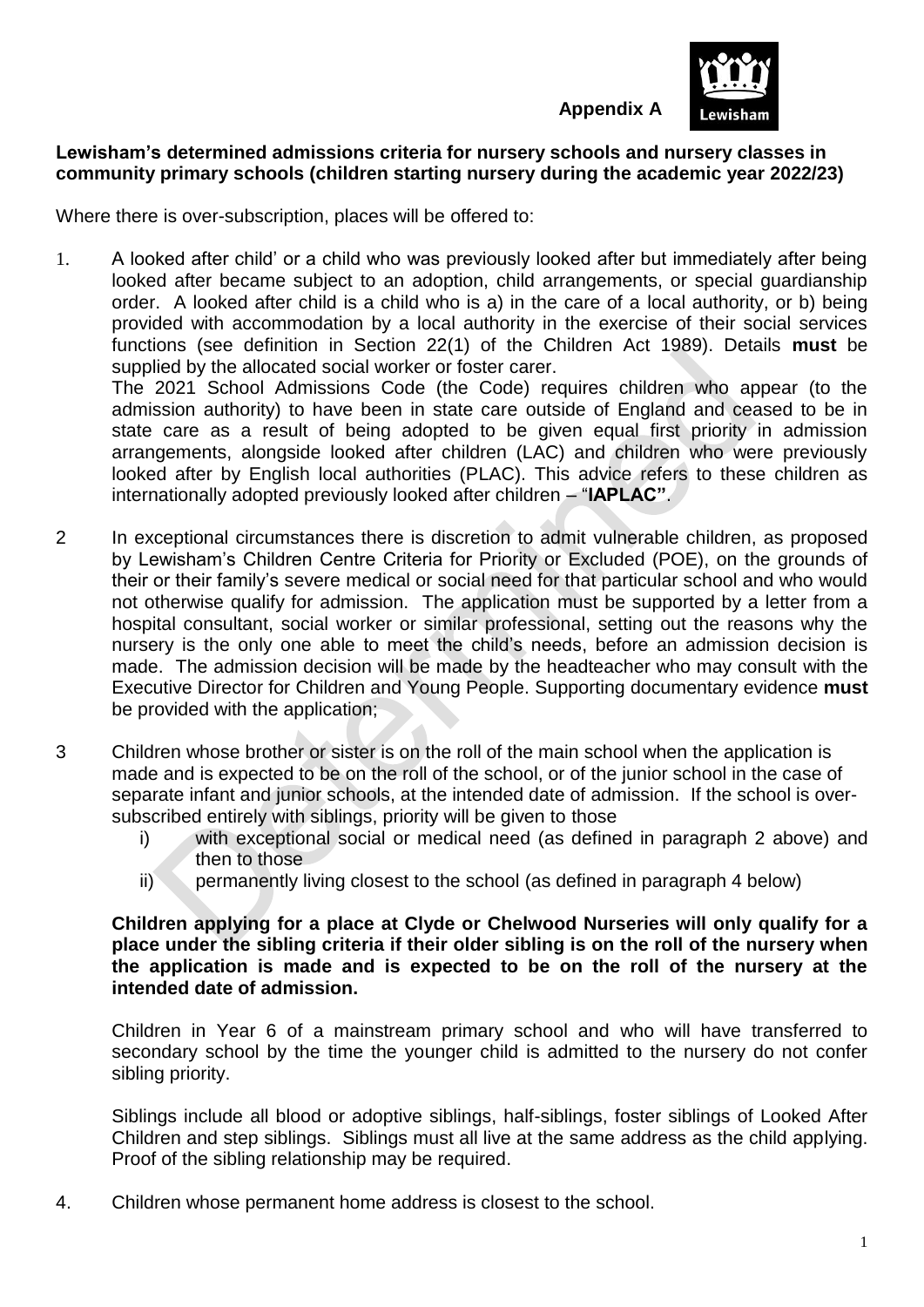

**Appendix A**

### **Lewisham's determined admissions criteria for nursery schools and nursery classes in community primary schools (children starting nursery during the academic year 2022/23)**

Where there is over-subscription, places will be offered to:

1. A looked after child' or a child who was previously looked after but immediately after being looked after became subject to an adoption, child arrangements, or special guardianship order. A looked after child is a child who is a) in the care of a local authority, or b) being provided with accommodation by a local authority in the exercise of their social services functions (see definition in Section 22(1) of the Children Act 1989). Details **must** be supplied by the allocated social worker or foster carer.

The 2021 School Admissions Code (the Code) requires children who appear (to the admission authority) to have been in state care outside of England and ceased to be in state care as a result of being adopted to be given equal first priority in admission arrangements, alongside looked after children (LAC) and children who were previously looked after by English local authorities (PLAC). This advice refers to these children as internationally adopted previously looked after children – "**IAPLAC"**.

- 2 In exceptional circumstances there is discretion to admit vulnerable children, as proposed by Lewisham's Children Centre Criteria for Priority or Excluded (POE), on the grounds of their or their family's severe medical or social need for that particular school and who would not otherwise qualify for admission. The application must be supported by a letter from a hospital consultant, social worker or similar professional, setting out the reasons why the nursery is the only one able to meet the child's needs, before an admission decision is made. The admission decision will be made by the headteacher who may consult with the Executive Director for Children and Young People. Supporting documentary evidence **must**  be provided with the application;
- 3 Children whose brother or sister is on the roll of the main school when the application is made and is expected to be on the roll of the school, or of the junior school in the case of separate infant and junior schools, at the intended date of admission. If the school is oversubscribed entirely with siblings, priority will be given to those
	- i) with exceptional social or medical need (as defined in paragraph 2 above) and then to those
	- ii) permanently living closest to the school (as defined in paragraph 4 below)

**Children applying for a place at Clyde or Chelwood Nurseries will only qualify for a place under the sibling criteria if their older sibling is on the roll of the nursery when the application is made and is expected to be on the roll of the nursery at the intended date of admission.**

Children in Year 6 of a mainstream primary school and who will have transferred to secondary school by the time the younger child is admitted to the nursery do not confer sibling priority.

Siblings include all blood or adoptive siblings, half-siblings, foster siblings of Looked After Children and step siblings. Siblings must all live at the same address as the child applying. Proof of the sibling relationship may be required.

4. Children whose permanent home address is closest to the school.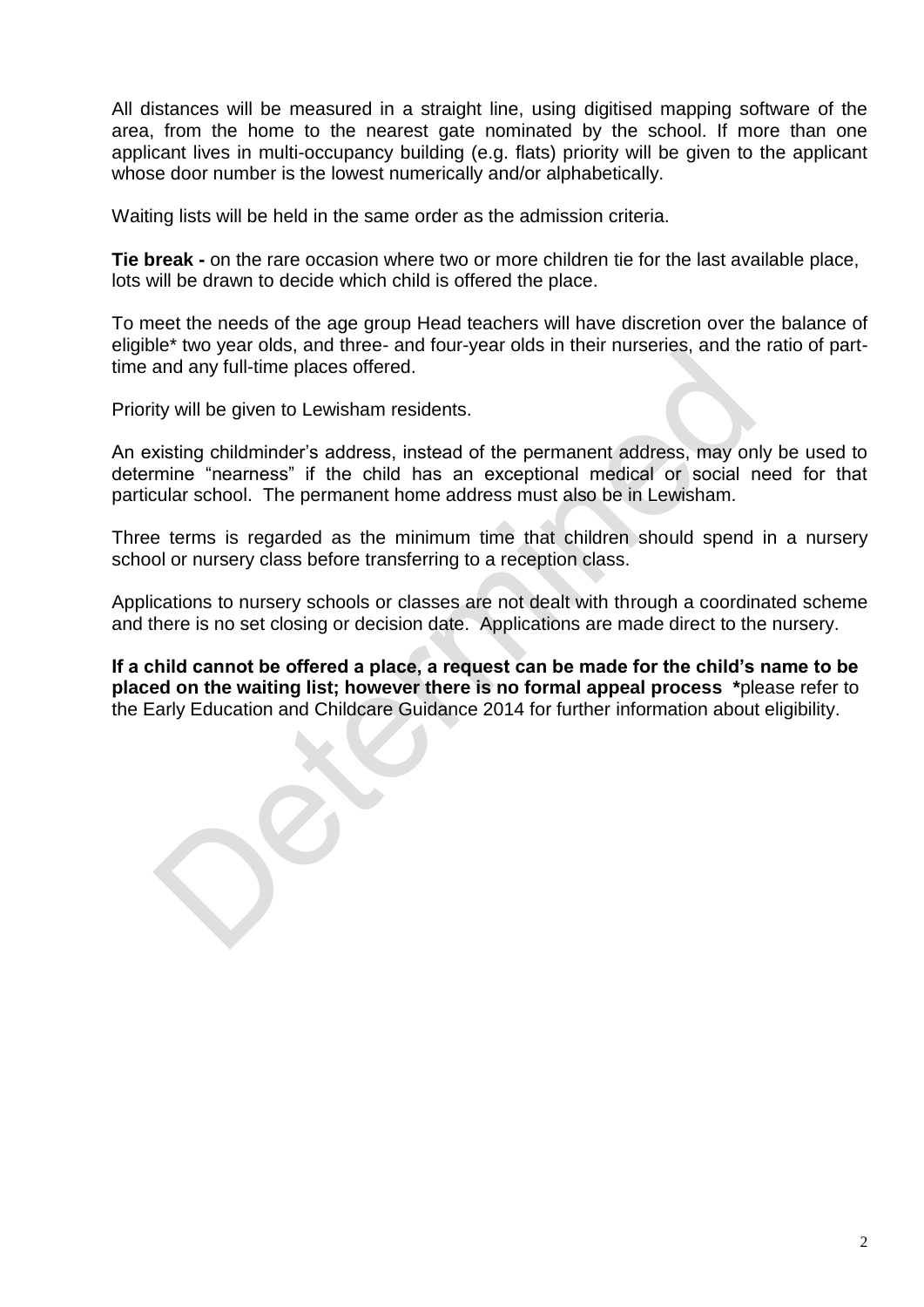All distances will be measured in a straight line, using digitised mapping software of the area, from the home to the nearest gate nominated by the school. If more than one applicant lives in multi-occupancy building (e.g. flats) priority will be given to the applicant whose door number is the lowest numerically and/or alphabetically.

Waiting lists will be held in the same order as the admission criteria.

**Tie break -** on the rare occasion where two or more children tie for the last available place, lots will be drawn to decide which child is offered the place.

To meet the needs of the age group Head teachers will have discretion over the balance of eligible\* two year olds, and three- and four-year olds in their nurseries, and the ratio of parttime and any full-time places offered.

Priority will be given to Lewisham residents.

An existing childminder's address, instead of the permanent address, may only be used to determine "nearness" if the child has an exceptional medical or social need for that particular school. The permanent home address must also be in Lewisham.

Three terms is regarded as the minimum time that children should spend in a nursery school or nursery class before transferring to a reception class.

Applications to nursery schools or classes are not dealt with through a coordinated scheme and there is no set closing or decision date. Applications are made direct to the nursery.

**If a child cannot be offered a place, a request can be made for the child's name to be placed on the waiting list; however there is no formal appeal process \***please refer to the Early Education and Childcare Guidance 2014 for further information about eligibility.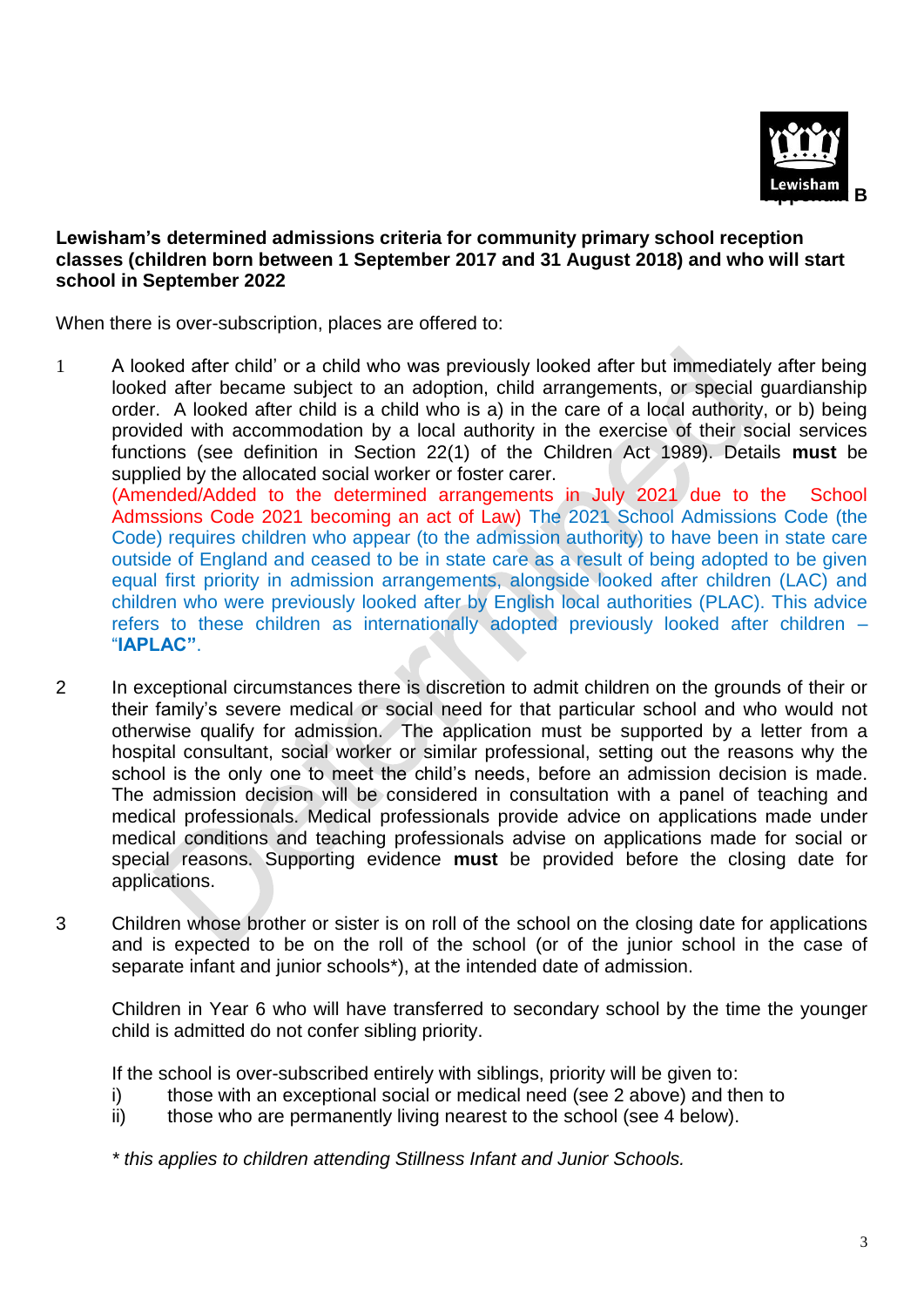

## **Lewisham's determined admissions criteria for community primary school reception classes (children born between 1 September 2017 and 31 August 2018) and who will start school in September 2022**

When there is over-subscription, places are offered to:

1 A looked after child' or a child who was previously looked after but immediately after being looked after became subject to an adoption, child arrangements, or special guardianship order. A looked after child is a child who is a) in the care of a local authority, or b) being provided with accommodation by a local authority in the exercise of their social services functions (see definition in Section 22(1) of the Children Act 1989). Details **must** be supplied by the allocated social worker or foster carer.

(Amended/Added to the determined arrangements in July 2021 due to the School Admssions Code 2021 becoming an act of Law) The 2021 School Admissions Code (the Code) requires children who appear (to the admission authority) to have been in state care outside of England and ceased to be in state care as a result of being adopted to be given equal first priority in admission arrangements, alongside looked after children (LAC) and children who were previously looked after by English local authorities (PLAC). This advice refers to these children as internationally adopted previously looked after children – "**IAPLAC"**.

- 2 In exceptional circumstances there is discretion to admit children on the grounds of their or their family's severe medical or social need for that particular school and who would not otherwise qualify for admission. The application must be supported by a letter from a hospital consultant, social worker or similar professional, setting out the reasons why the school is the only one to meet the child's needs, before an admission decision is made. The admission decision will be considered in consultation with a panel of teaching and medical professionals. Medical professionals provide advice on applications made under medical conditions and teaching professionals advise on applications made for social or special reasons. Supporting evidence **must** be provided before the closing date for applications.
- 3 Children whose brother or sister is on roll of the school on the closing date for applications and is expected to be on the roll of the school (or of the junior school in the case of separate infant and junior schools\*), at the intended date of admission.

Children in Year 6 who will have transferred to secondary school by the time the younger child is admitted do not confer sibling priority.

If the school is over-subscribed entirely with siblings, priority will be given to:

- i) those with an exceptional social or medical need (see 2 above) and then to
- ii) those who are permanently living nearest to the school (see 4 below).

*\* this applies to children attending Stillness Infant and Junior Schools.*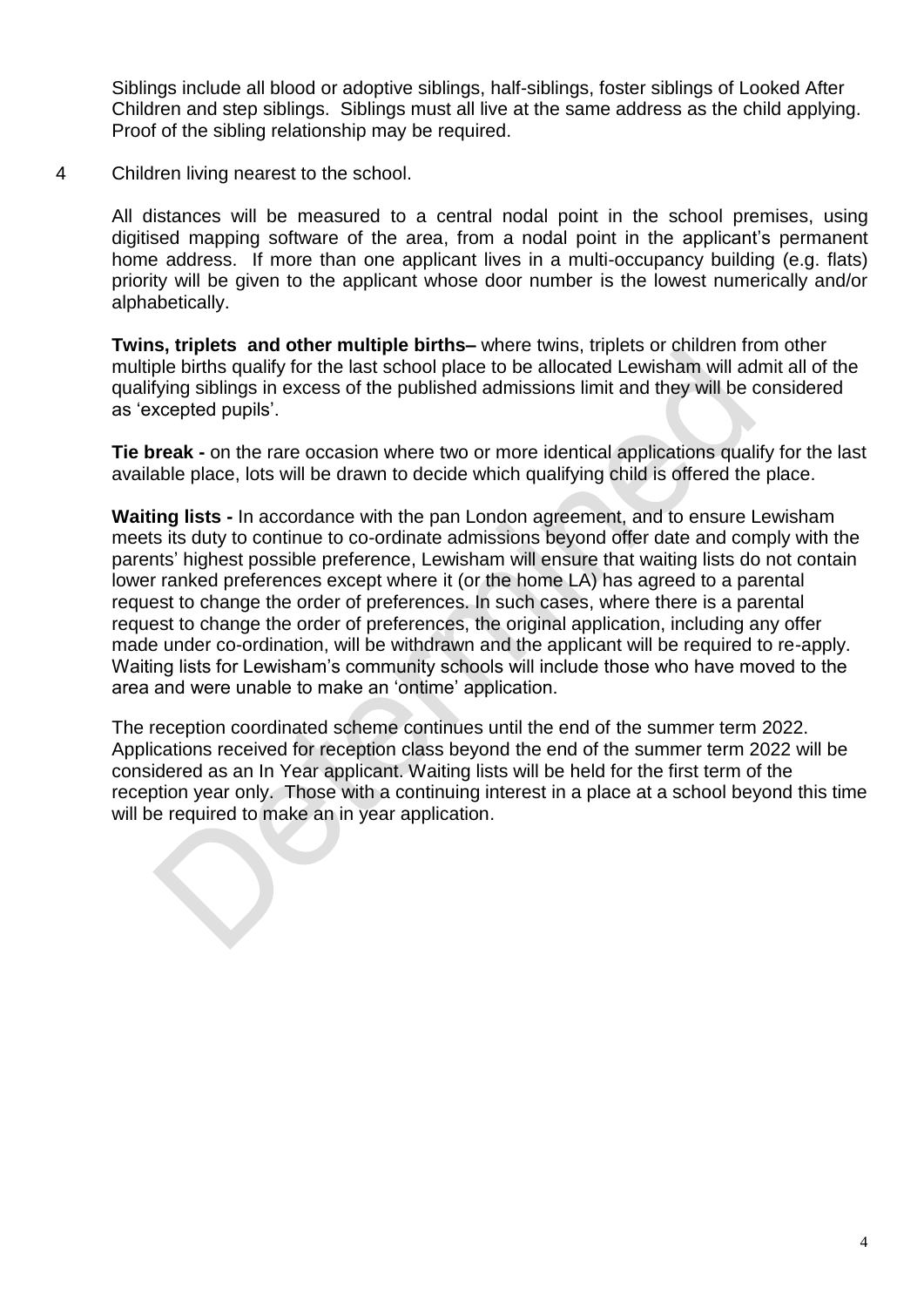Siblings include all blood or adoptive siblings, half-siblings, foster siblings of Looked After Children and step siblings. Siblings must all live at the same address as the child applying. Proof of the sibling relationship may be required.

4 Children living nearest to the school.

All distances will be measured to a central nodal point in the school premises, using digitised mapping software of the area, from a nodal point in the applicant's permanent home address. If more than one applicant lives in a multi-occupancy building (e.g. flats) priority will be given to the applicant whose door number is the lowest numerically and/or alphabetically.

**Twins, triplets and other multiple births–** where twins, triplets or children from other multiple births qualify for the last school place to be allocated Lewisham will admit all of the qualifying siblings in excess of the published admissions limit and they will be considered as 'excepted pupils'.

**Tie break -** on the rare occasion where two or more identical applications qualify for the last available place, lots will be drawn to decide which qualifying child is offered the place.

**Waiting lists -** In accordance with the pan London agreement, and to ensure Lewisham meets its duty to continue to co-ordinate admissions beyond offer date and comply with the parents' highest possible preference, Lewisham will ensure that waiting lists do not contain lower ranked preferences except where it (or the home LA) has agreed to a parental request to change the order of preferences. In such cases, where there is a parental request to change the order of preferences, the original application, including any offer made under co-ordination, will be withdrawn and the applicant will be required to re-apply. Waiting lists for Lewisham's community schools will include those who have moved to the area and were unable to make an 'ontime' application.

The reception coordinated scheme continues until the end of the summer term 2022. Applications received for reception class beyond the end of the summer term 2022 will be considered as an In Year applicant. Waiting lists will be held for the first term of the reception year only. Those with a continuing interest in a place at a school beyond this time will be required to make an in year application.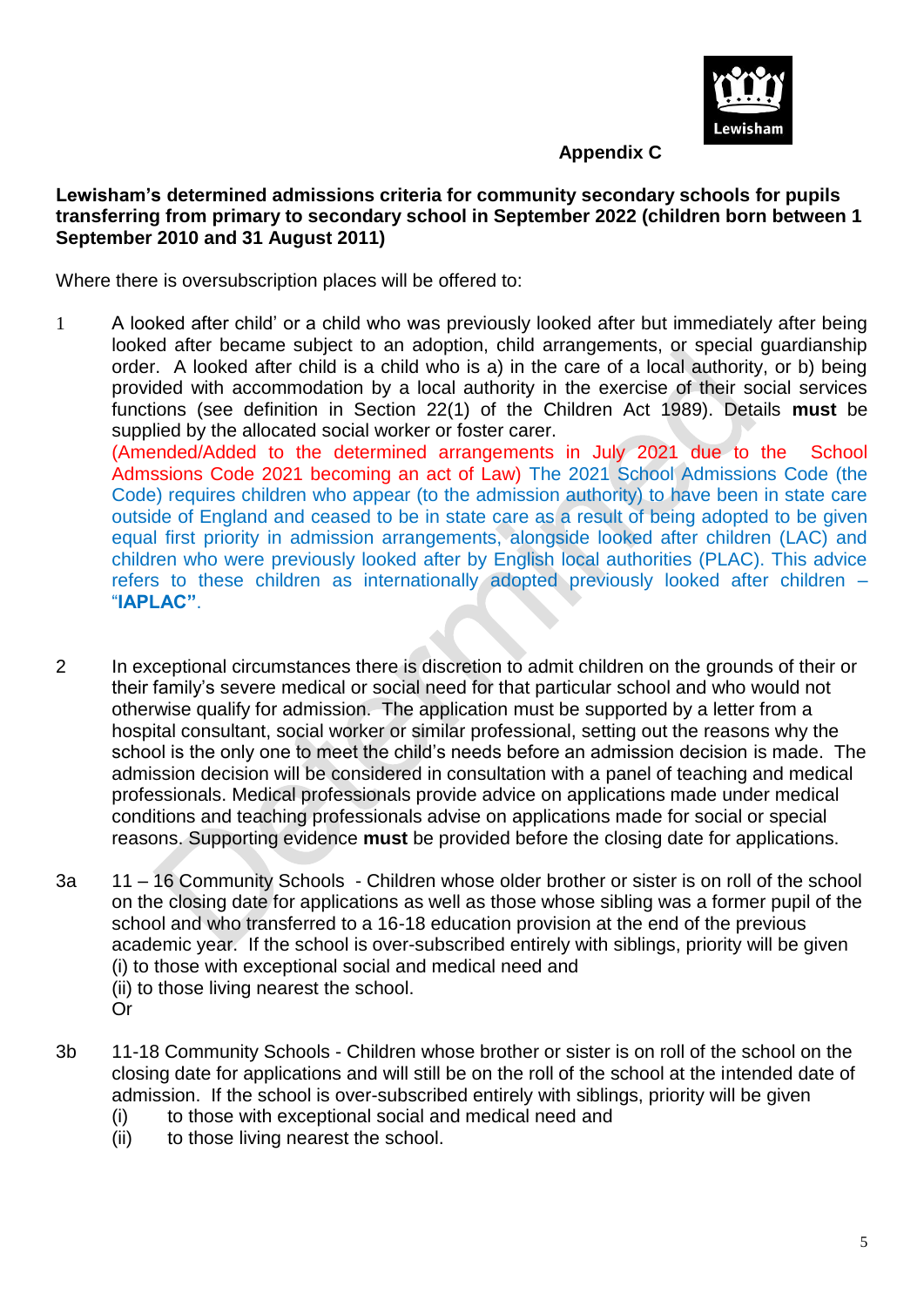

# **Appendix C**

## **Lewisham's determined admissions criteria for community secondary schools for pupils transferring from primary to secondary school in September 2022 (children born between 1 September 2010 and 31 August 2011)**

Where there is oversubscription places will be offered to:

1 A looked after child' or a child who was previously looked after but immediately after being looked after became subject to an adoption, child arrangements, or special guardianship order. A looked after child is a child who is a) in the care of a local authority, or b) being provided with accommodation by a local authority in the exercise of their social services functions (see definition in Section 22(1) of the Children Act 1989). Details **must** be supplied by the allocated social worker or foster carer. (Amended/Added to the determined arrangements in July 2021 due to the School

Admssions Code 2021 becoming an act of Law) The 2021 School Admissions Code (the Code) requires children who appear (to the admission authority) to have been in state care outside of England and ceased to be in state care as a result of being adopted to be given equal first priority in admission arrangements, alongside looked after children (LAC) and children who were previously looked after by English local authorities (PLAC). This advice refers to these children as internationally adopted previously looked after children – "**IAPLAC"**.

- 2 In exceptional circumstances there is discretion to admit children on the grounds of their or their family's severe medical or social need for that particular school and who would not otherwise qualify for admission. The application must be supported by a letter from a hospital consultant, social worker or similar professional, setting out the reasons why the school is the only one to meet the child's needs before an admission decision is made. The admission decision will be considered in consultation with a panel of teaching and medical professionals. Medical professionals provide advice on applications made under medical conditions and teaching professionals advise on applications made for social or special reasons. Supporting evidence **must** be provided before the closing date for applications.
- 3a 11 16 Community Schools Children whose older brother or sister is on roll of the school on the closing date for applications as well as those whose sibling was a former pupil of the school and who transferred to a 16-18 education provision at the end of the previous academic year. If the school is over-subscribed entirely with siblings, priority will be given (i) to those with exceptional social and medical need and (ii) to those living nearest the school. Or
- 3b 11-18 Community Schools Children whose brother or sister is on roll of the school on the closing date for applications and will still be on the roll of the school at the intended date of admission. If the school is over-subscribed entirely with siblings, priority will be given
	- (i) to those with exceptional social and medical need and
	- (ii) to those living nearest the school.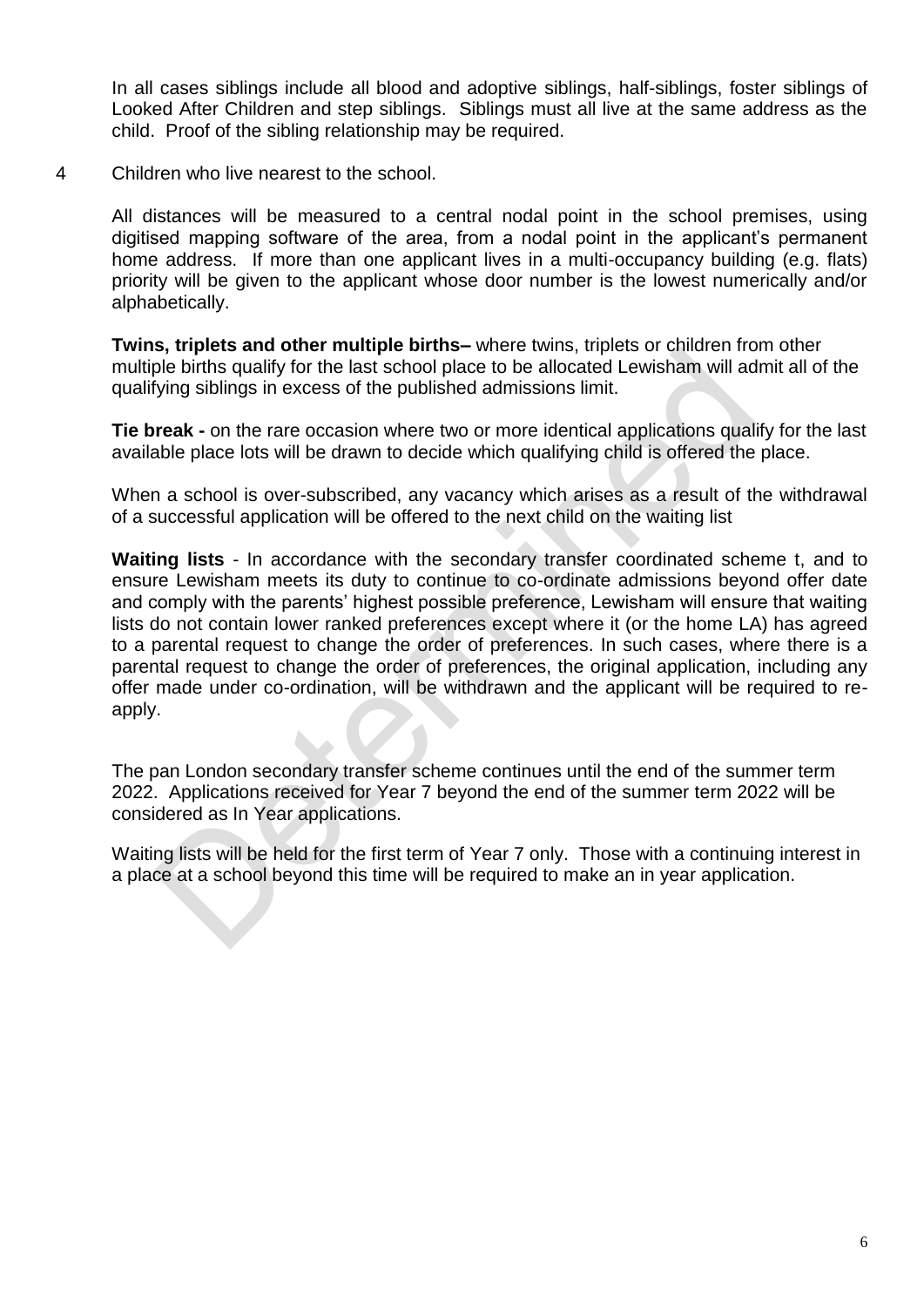In all cases siblings include all blood and adoptive siblings, half-siblings, foster siblings of Looked After Children and step siblings. Siblings must all live at the same address as the child. Proof of the sibling relationship may be required.

4 Children who live nearest to the school.

All distances will be measured to a central nodal point in the school premises, using digitised mapping software of the area, from a nodal point in the applicant's permanent home address. If more than one applicant lives in a multi-occupancy building (e.g. flats) priority will be given to the applicant whose door number is the lowest numerically and/or alphabetically.

**Twins, triplets and other multiple births–** where twins, triplets or children from other multiple births qualify for the last school place to be allocated Lewisham will admit all of the qualifying siblings in excess of the published admissions limit.

**Tie break -** on the rare occasion where two or more identical applications qualify for the last available place lots will be drawn to decide which qualifying child is offered the place.

When a school is over-subscribed, any vacancy which arises as a result of the withdrawal of a successful application will be offered to the next child on the waiting list

**Waiting lists** - In accordance with the secondary transfer coordinated scheme t, and to ensure Lewisham meets its duty to continue to co-ordinate admissions beyond offer date and comply with the parents' highest possible preference, Lewisham will ensure that waiting lists do not contain lower ranked preferences except where it (or the home LA) has agreed to a parental request to change the order of preferences. In such cases, where there is a parental request to change the order of preferences, the original application, including any offer made under co-ordination, will be withdrawn and the applicant will be required to reapply.

The pan London secondary transfer scheme continues until the end of the summer term 2022. Applications received for Year 7 beyond the end of the summer term 2022 will be considered as In Year applications.

Waiting lists will be held for the first term of Year 7 only. Those with a continuing interest in a place at a school beyond this time will be required to make an in year application.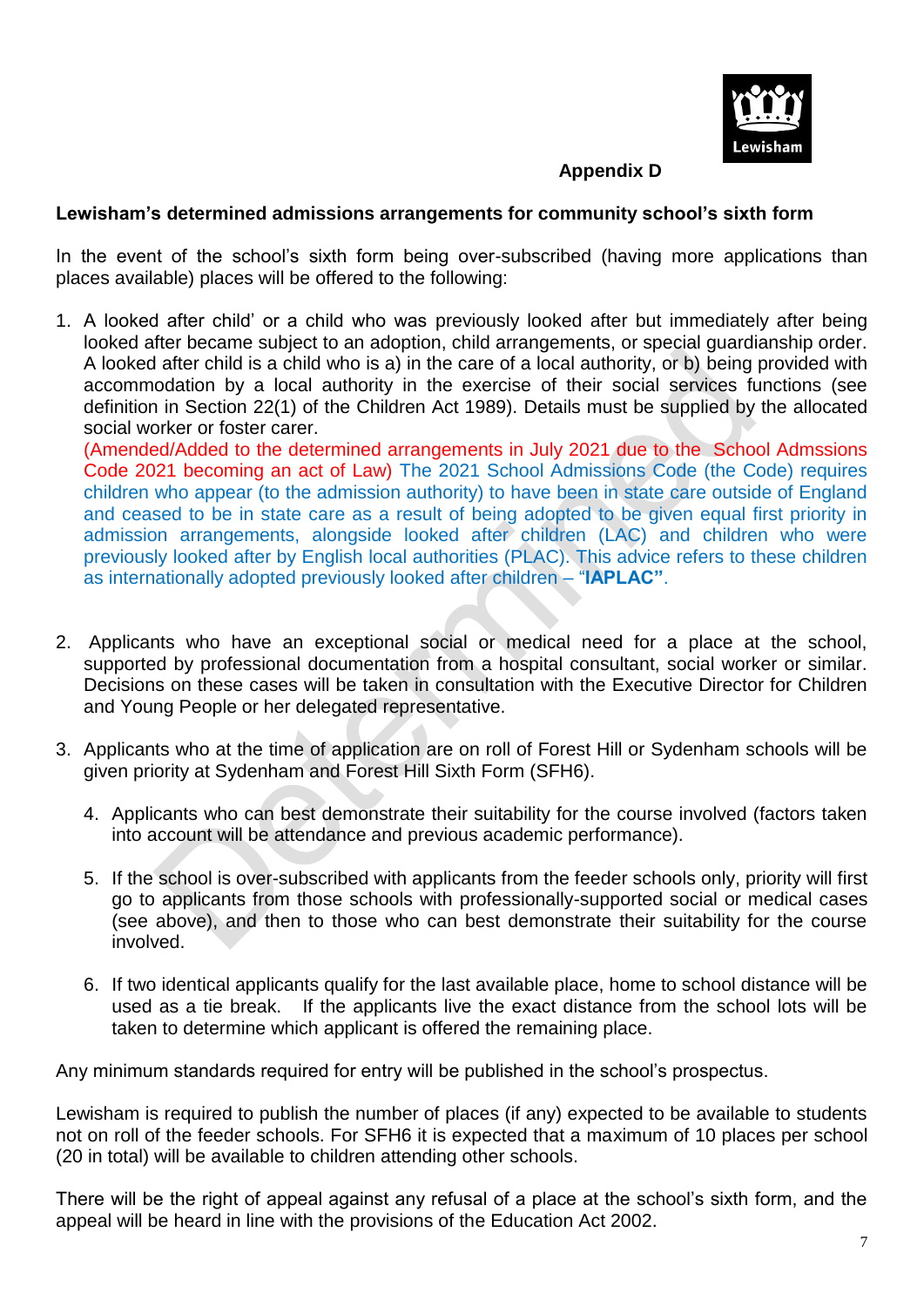

# **Appendix D**

## **Lewisham's determined admissions arrangements for community school's sixth form**

In the event of the school's sixth form being over-subscribed (having more applications than places available) places will be offered to the following:

1. A looked after child' or a child who was previously looked after but immediately after being looked after became subject to an adoption, child arrangements, or special guardianship order. A looked after child is a child who is a) in the care of a local authority, or b) being provided with accommodation by a local authority in the exercise of their social services functions (see definition in Section 22(1) of the Children Act 1989). Details must be supplied by the allocated social worker or foster carer.

(Amended/Added to the determined arrangements in July 2021 due to the School Admssions Code 2021 becoming an act of Law) The 2021 School Admissions Code (the Code) requires children who appear (to the admission authority) to have been in state care outside of England and ceased to be in state care as a result of being adopted to be given equal first priority in admission arrangements, alongside looked after children (LAC) and children who were previously looked after by English local authorities (PLAC). This advice refers to these children as internationally adopted previously looked after children – "**IAPLAC"**.

- 2. Applicants who have an exceptional social or medical need for a place at the school, supported by professional documentation from a hospital consultant, social worker or similar. Decisions on these cases will be taken in consultation with the Executive Director for Children and Young People or her delegated representative.
- 3. Applicants who at the time of application are on roll of Forest Hill or Sydenham schools will be given priority at Sydenham and Forest Hill Sixth Form (SFH6).
	- 4. Applicants who can best demonstrate their suitability for the course involved (factors taken into account will be attendance and previous academic performance).
	- 5. If the school is over-subscribed with applicants from the feeder schools only, priority will first go to applicants from those schools with professionally-supported social or medical cases (see above), and then to those who can best demonstrate their suitability for the course involved.
	- 6. If two identical applicants qualify for the last available place, home to school distance will be used as a tie break. If the applicants live the exact distance from the school lots will be taken to determine which applicant is offered the remaining place.

Any minimum standards required for entry will be published in the school's prospectus.

Lewisham is required to publish the number of places (if any) expected to be available to students not on roll of the feeder schools. For SFH6 it is expected that a maximum of 10 places per school (20 in total) will be available to children attending other schools.

There will be the right of appeal against any refusal of a place at the school's sixth form, and the appeal will be heard in line with the provisions of the Education Act 2002.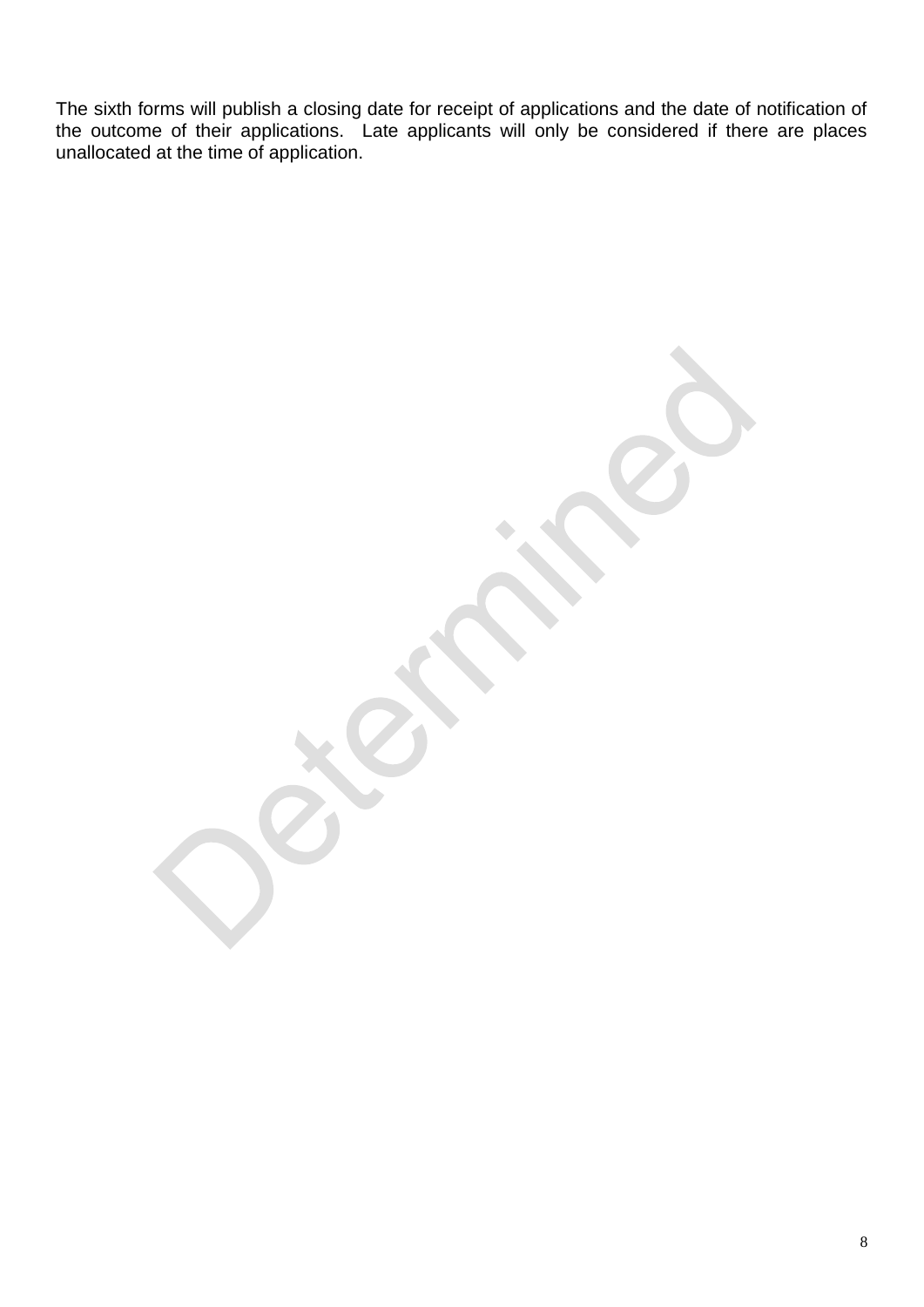The sixth forms will publish a closing date for receipt of applications and the date of notification of the outcome of their applications. Late applicants will only be considered if there are places unallocated at the time of application.

8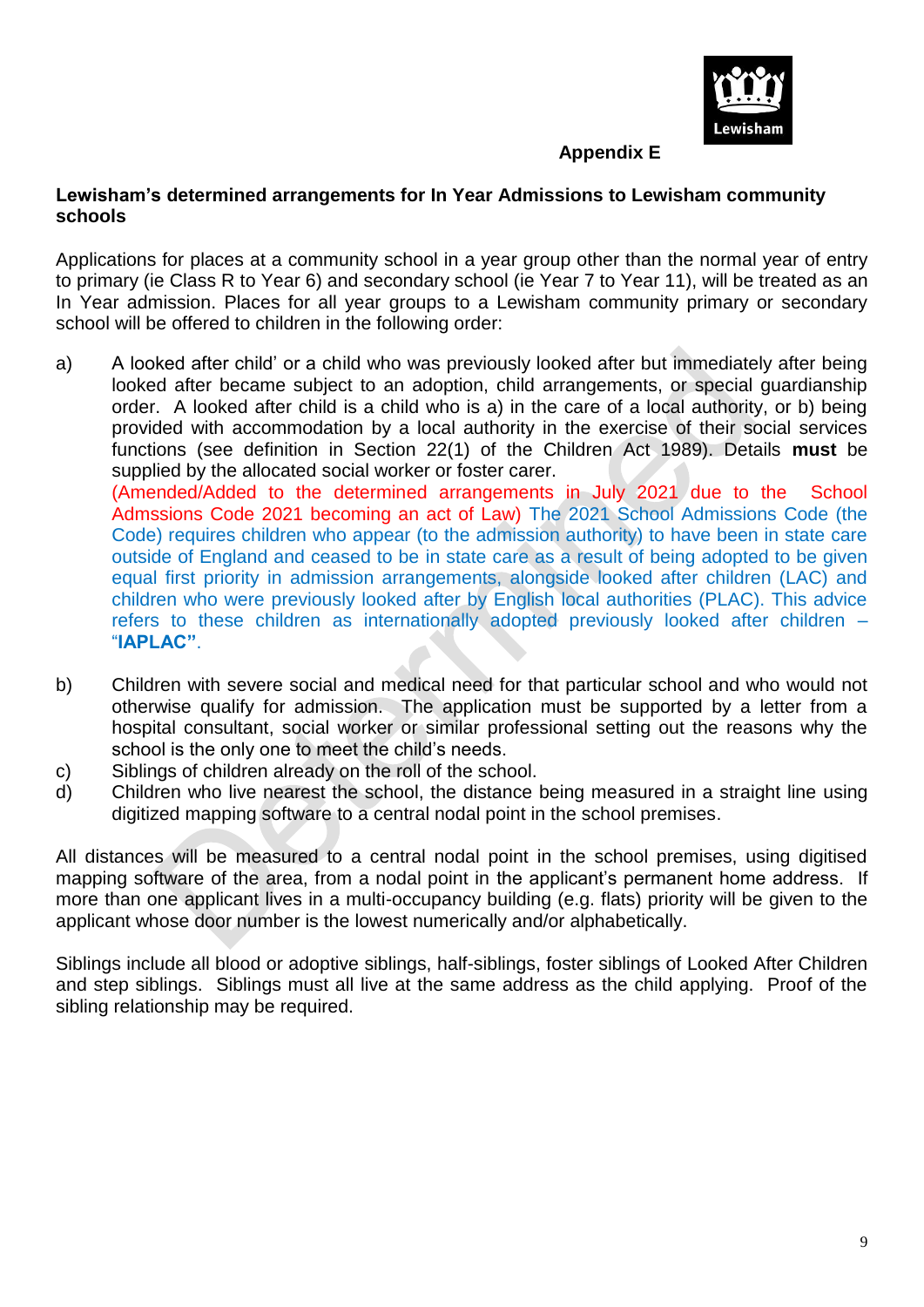

## **Appendix E**

## **Lewisham's determined arrangements for In Year Admissions to Lewisham community schools**

Applications for places at a community school in a year group other than the normal year of entry to primary (ie Class R to Year 6) and secondary school (ie Year 7 to Year 11), will be treated as an In Year admission. Places for all year groups to a Lewisham community primary or secondary school will be offered to children in the following order:

a) A looked after child' or a child who was previously looked after but immediately after being looked after became subject to an adoption, child arrangements, or special guardianship order. A looked after child is a child who is a) in the care of a local authority, or b) being provided with accommodation by a local authority in the exercise of their social services functions (see definition in Section 22(1) of the Children Act 1989). Details **must** be supplied by the allocated social worker or foster carer.

(Amended/Added to the determined arrangements in July 2021 due to the School Admssions Code 2021 becoming an act of Law) The 2021 School Admissions Code (the Code) requires children who appear (to the admission authority) to have been in state care outside of England and ceased to be in state care as a result of being adopted to be given equal first priority in admission arrangements, alongside looked after children (LAC) and children who were previously looked after by English local authorities (PLAC). This advice refers to these children as internationally adopted previously looked after children – "**IAPLAC"**.

- b) Children with severe social and medical need for that particular school and who would not otherwise qualify for admission. The application must be supported by a letter from a hospital consultant, social worker or similar professional setting out the reasons why the school is the only one to meet the child's needs.
- c) Siblings of children already on the roll of the school.
- d) Children who live nearest the school, the distance being measured in a straight line using digitized mapping software to a central nodal point in the school premises.

All distances will be measured to a central nodal point in the school premises, using digitised mapping software of the area, from a nodal point in the applicant's permanent home address. If more than one applicant lives in a multi-occupancy building (e.g. flats) priority will be given to the applicant whose door number is the lowest numerically and/or alphabetically.

Siblings include all blood or adoptive siblings, half-siblings, foster siblings of Looked After Children and step siblings. Siblings must all live at the same address as the child applying. Proof of the sibling relationship may be required.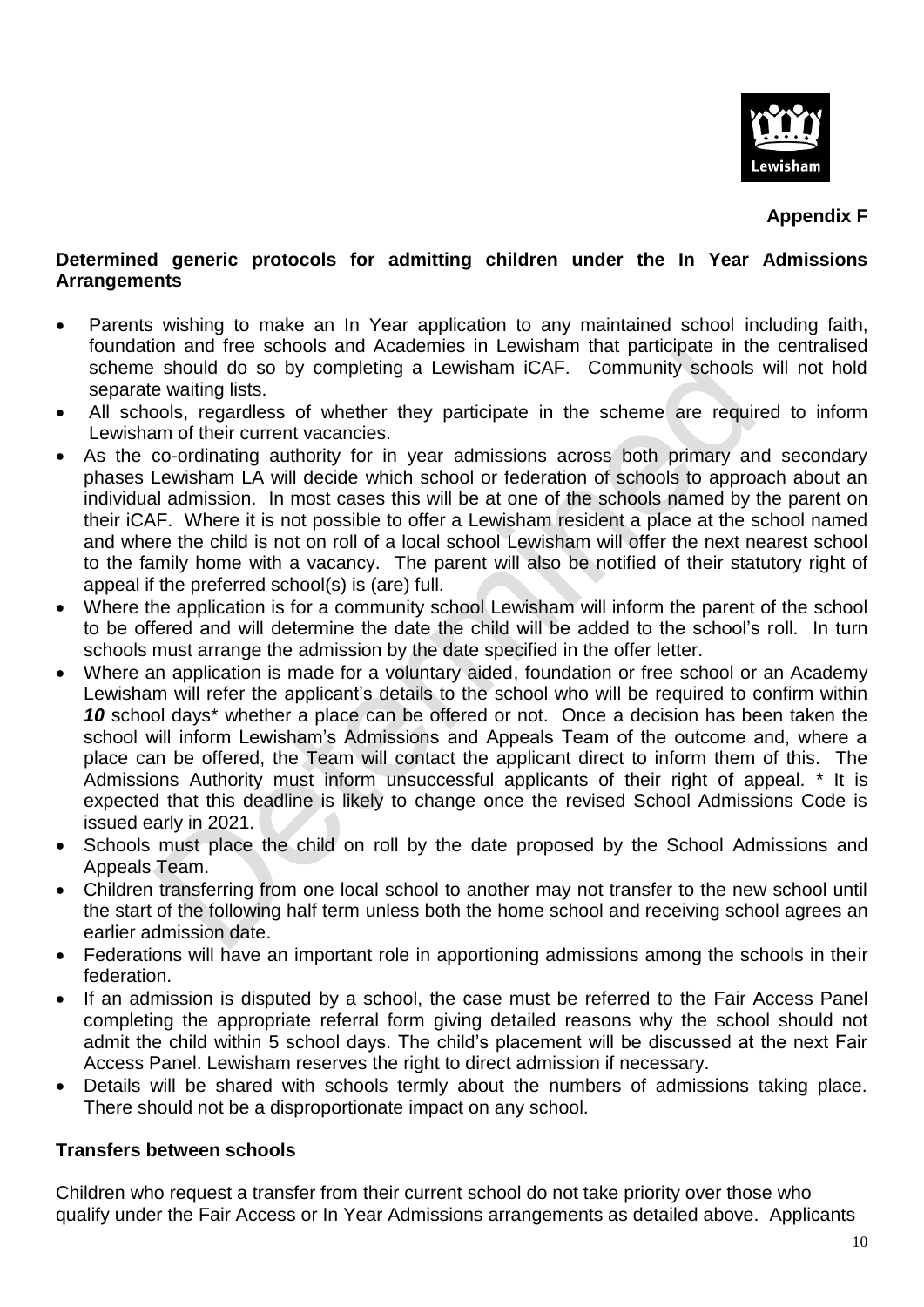

**Appendix F**

## **Determined generic protocols for admitting children under the In Year Admissions Arrangements**

- Parents wishing to make an In Year application to any maintained school including faith, foundation and free schools and Academies in Lewisham that participate in the centralised scheme should do so by completing a Lewisham iCAF. Community schools will not hold separate waiting lists.
- All schools, regardless of whether they participate in the scheme are required to inform Lewisham of their current vacancies.
- As the co-ordinating authority for in year admissions across both primary and secondary phases Lewisham LA will decide which school or federation of schools to approach about an individual admission. In most cases this will be at one of the schools named by the parent on their iCAF. Where it is not possible to offer a Lewisham resident a place at the school named and where the child is not on roll of a local school Lewisham will offer the next nearest school to the family home with a vacancy. The parent will also be notified of their statutory right of appeal if the preferred school(s) is (are) full.
- Where the application is for a community school Lewisham will inform the parent of the school to be offered and will determine the date the child will be added to the school's roll. In turn schools must arrange the admission by the date specified in the offer letter.
- Where an application is made for a voluntary aided, foundation or free school or an Academy Lewisham will refer the applicant's details to the school who will be required to confirm within 10 school days<sup>\*</sup> whether a place can be offered or not. Once a decision has been taken the school will inform Lewisham's Admissions and Appeals Team of the outcome and, where a place can be offered, the Team will contact the applicant direct to inform them of this. The Admissions Authority must inform unsuccessful applicants of their right of appeal. \* It is expected that this deadline is likely to change once the revised School Admissions Code is issued early in 2021.
- Schools must place the child on roll by the date proposed by the School Admissions and Appeals Team.
- Children transferring from one local school to another may not transfer to the new school until the start of the following half term unless both the home school and receiving school agrees an earlier admission date.
- Federations will have an important role in apportioning admissions among the schools in their federation.
- If an admission is disputed by a school, the case must be referred to the Fair Access Panel completing the appropriate referral form giving detailed reasons why the school should not admit the child within 5 school days. The child's placement will be discussed at the next Fair Access Panel. Lewisham reserves the right to direct admission if necessary.
- Details will be shared with schools termly about the numbers of admissions taking place. There should not be a disproportionate impact on any school.

## **Transfers between schools**

Children who request a transfer from their current school do not take priority over those who qualify under the Fair Access or In Year Admissions arrangements as detailed above. Applicants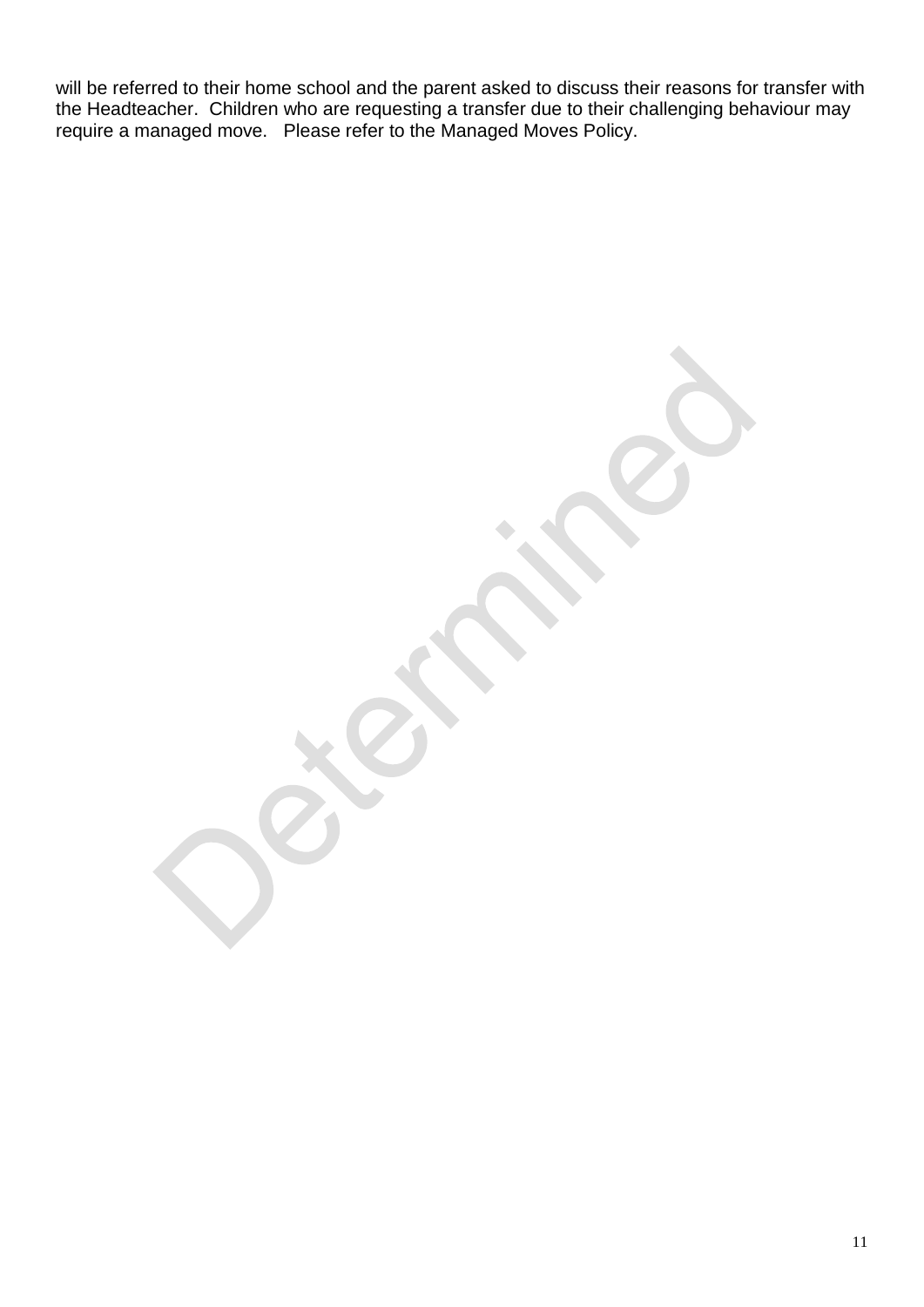will be referred to their home school and the parent asked to discuss their reasons for transfer with the Headteacher. Children who are requesting a transfer due to their challenging behaviour may require a managed move. Please refer to the Managed Moves Policy.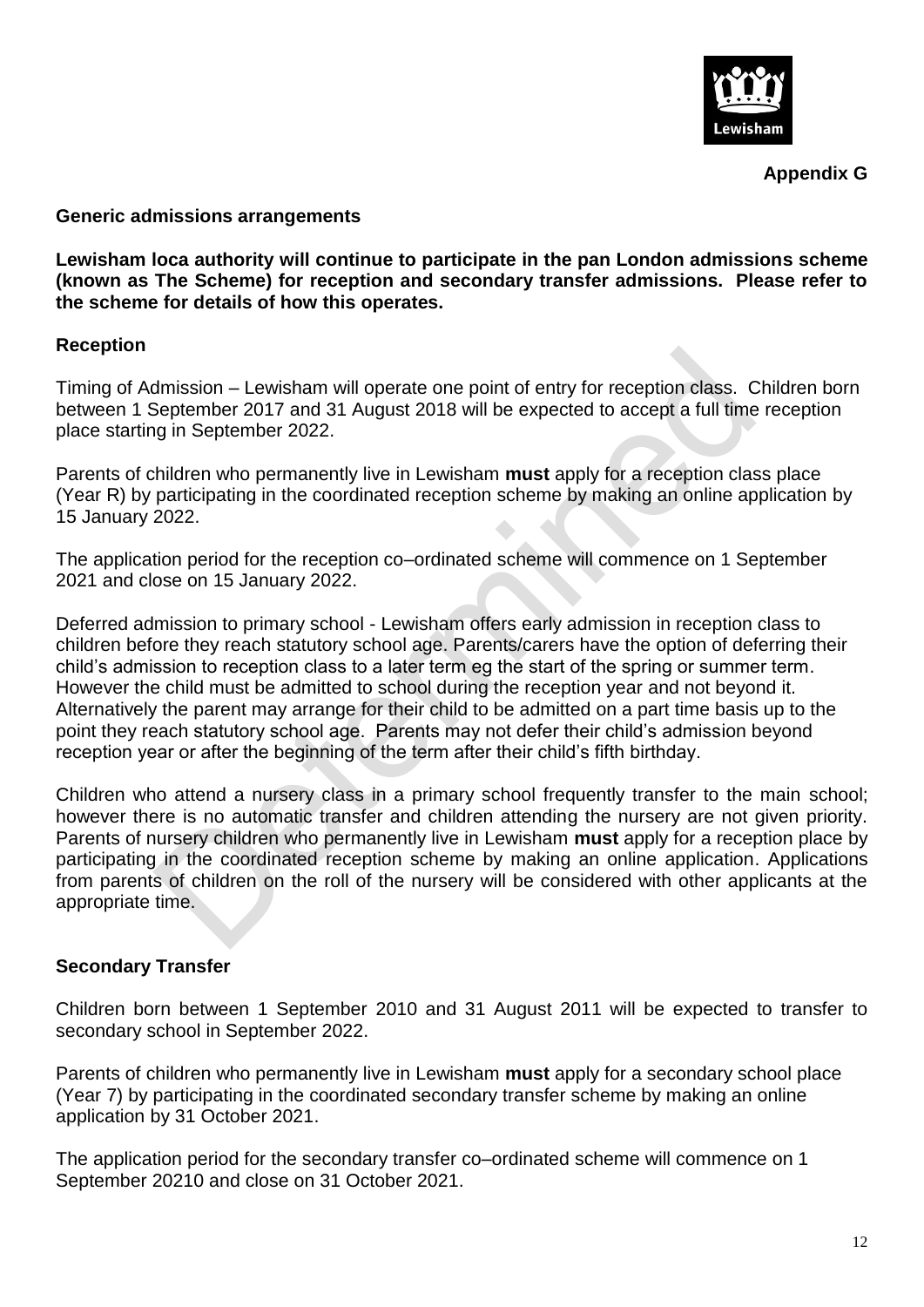

**Appendix G**

#### **Generic admissions arrangements**

**Lewisham loca authority will continue to participate in the pan London admissions scheme (known as The Scheme) for reception and secondary transfer admissions. Please refer to the scheme for details of how this operates.**

## **Reception**

Timing of Admission – Lewisham will operate one point of entry for reception class. Children born between 1 September 2017 and 31 August 2018 will be expected to accept a full time reception place starting in September 2022.

Parents of children who permanently live in Lewisham **must** apply for a reception class place (Year R) by participating in the coordinated reception scheme by making an online application by 15 January 2022.

The application period for the reception co–ordinated scheme will commence on 1 September 2021 and close on 15 January 2022.

Deferred admission to primary school - Lewisham offers early admission in reception class to children before they reach statutory school age. Parents/carers have the option of deferring their child's admission to reception class to a later term eg the start of the spring or summer term. However the child must be admitted to school during the reception year and not beyond it. Alternatively the parent may arrange for their child to be admitted on a part time basis up to the point they reach statutory school age. Parents may not defer their child's admission beyond reception year or after the beginning of the term after their child's fifth birthday.

Children who attend a nursery class in a primary school frequently transfer to the main school; however there is no automatic transfer and children attending the nursery are not given priority. Parents of nursery children who permanently live in Lewisham **must** apply for a reception place by participating in the coordinated reception scheme by making an online application. Applications from parents of children on the roll of the nursery will be considered with other applicants at the appropriate time.

## **Secondary Transfer**

Children born between 1 September 2010 and 31 August 2011 will be expected to transfer to secondary school in September 2022.

Parents of children who permanently live in Lewisham **must** apply for a secondary school place (Year 7) by participating in the coordinated secondary transfer scheme by making an online application by 31 October 2021.

The application period for the secondary transfer co–ordinated scheme will commence on 1 September 20210 and close on 31 October 2021.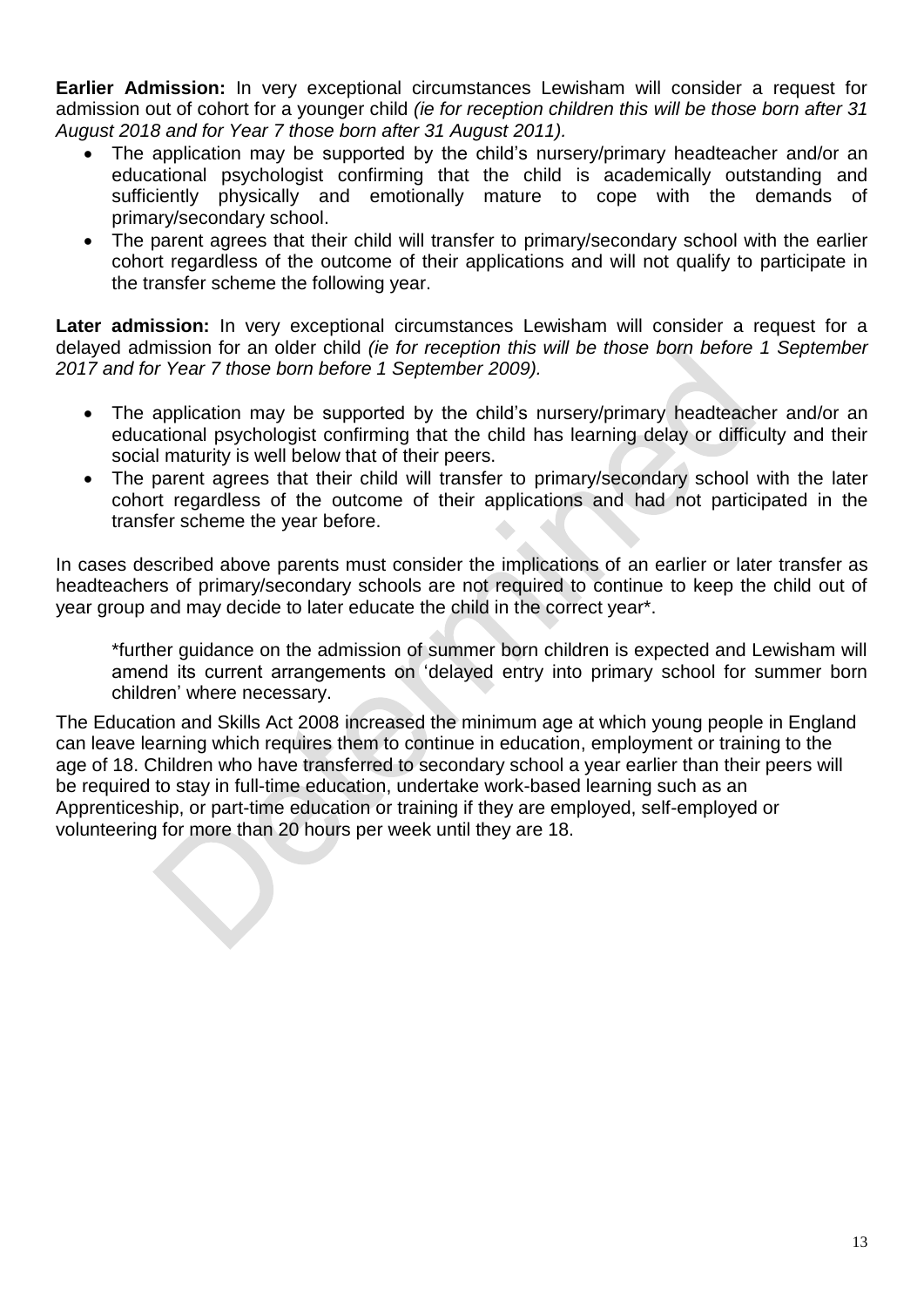**Earlier Admission:** In very exceptional circumstances Lewisham will consider a request for admission out of cohort for a younger child *(ie for reception children this will be those born after 31 August 2018 and for Year 7 those born after 31 August 2011).*

- The application may be supported by the child's nursery/primary headteacher and/or an educational psychologist confirming that the child is academically outstanding and sufficiently physically and emotionally mature to cope with the demands of primary/secondary school.
- The parent agrees that their child will transfer to primary/secondary school with the earlier cohort regardless of the outcome of their applications and will not qualify to participate in the transfer scheme the following year.

**Later admission:** In very exceptional circumstances Lewisham will consider a request for a delayed admission for an older child *(ie for reception this will be those born before 1 September 2017 and for Year 7 those born before 1 September 2009).*

- The application may be supported by the child's nursery/primary headteacher and/or an educational psychologist confirming that the child has learning delay or difficulty and their social maturity is well below that of their peers.
- The parent agrees that their child will transfer to primary/secondary school with the later cohort regardless of the outcome of their applications and had not participated in the transfer scheme the year before.

In cases described above parents must consider the implications of an earlier or later transfer as headteachers of primary/secondary schools are not required to continue to keep the child out of year group and may decide to later educate the child in the correct year\*.

\*further guidance on the admission of summer born children is expected and Lewisham will amend its current arrangements on 'delayed entry into primary school for summer born children' where necessary.

The Education and Skills Act 2008 increased the minimum age at which young people in England can leave learning which requires them to continue in education, employment or training to the age of 18. Children who have transferred to secondary school a year earlier than their peers will be required to stay in full-time education, undertake work-based learning such as an Apprenticeship, or part-time education or training if they are employed, self-employed or volunteering for more than 20 hours per week until they are 18.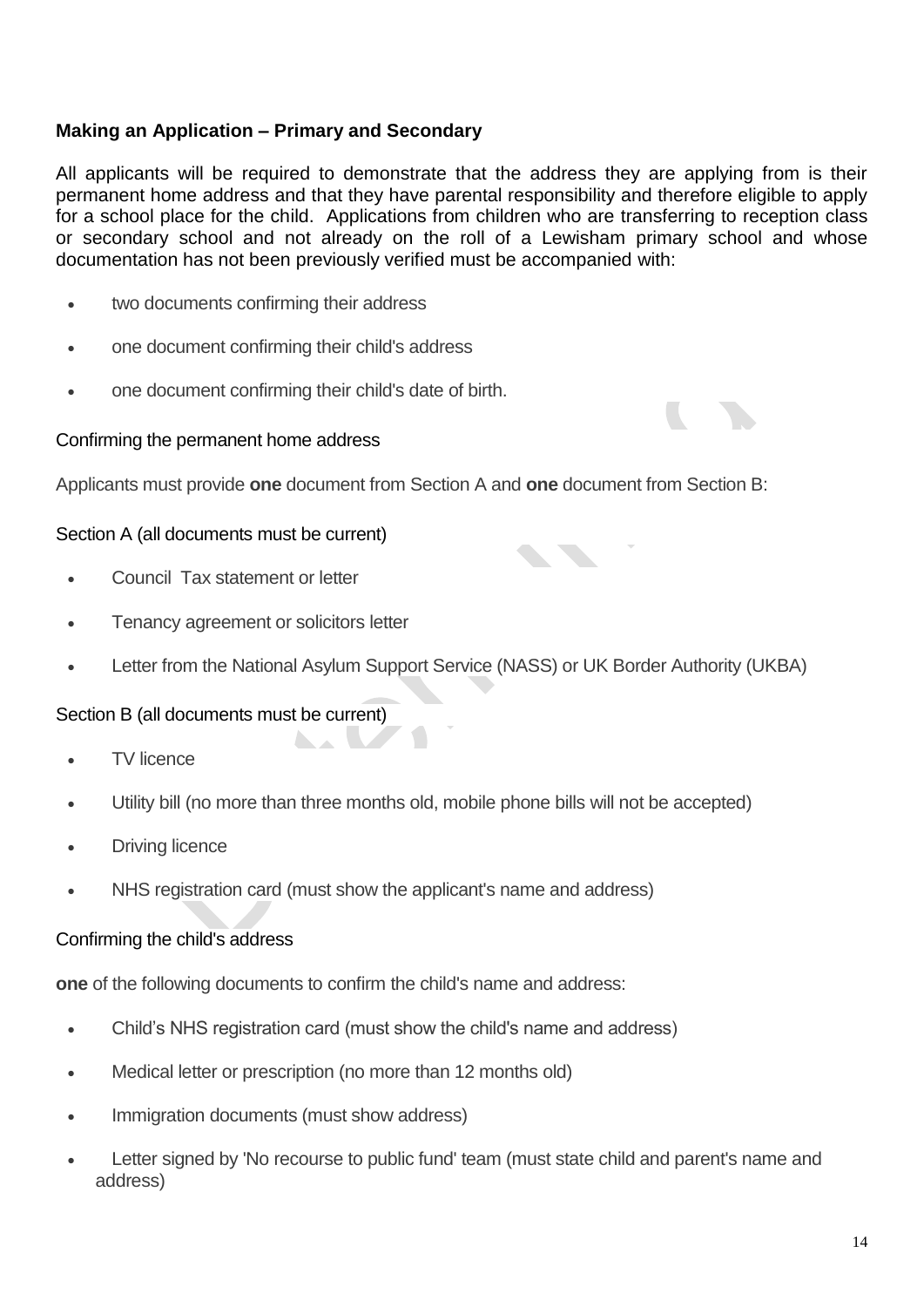# **Making an Application – Primary and Secondary**

All applicants will be required to demonstrate that the address they are applying from is their permanent home address and that they have parental responsibility and therefore eligible to apply for a school place for the child. Applications from children who are transferring to reception class or secondary school and not already on the roll of a Lewisham primary school and whose documentation has not been previously verified must be accompanied with:

- two documents confirming their address
- one document confirming their child's address
- one document confirming their child's date of birth.

## Confirming the permanent home address

Applicants must provide **one** document from Section A and **one** document from Section B:

# Section A (all documents must be current)

- Council Tax statement or letter
- Tenancy agreement or solicitors letter
- Letter from the National Asylum Support Service (NASS) or UK Border Authority (UKBA)

## Section B (all documents must be current)

- TV licence
- Utility bill (no more than three months old, mobile phone bills will not be accepted)
- Driving licence
- NHS registration card (must show the applicant's name and address)

## Confirming the child's address

**one** of the following documents to confirm the child's name and address:

**ARCHIMEDIA** 

- Child's NHS registration card (must show the child's name and address)
- Medical letter or prescription (no more than 12 months old)
- Immigration documents (must show address)
- Letter signed by 'No recourse to public fund' team (must state child and parent's name and address)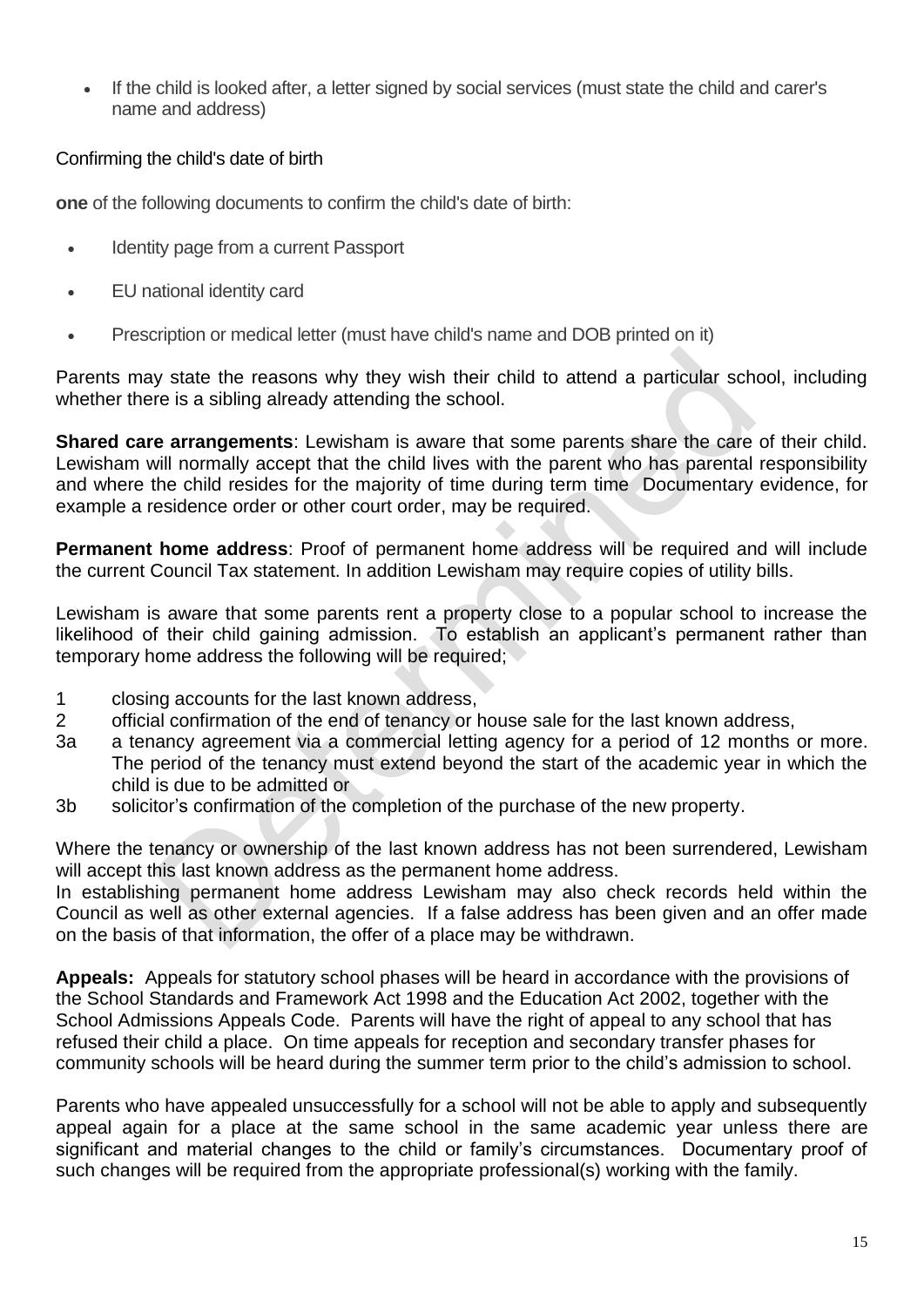If the child is looked after, a letter signed by social services (must state the child and carer's name and address)

# Confirming the child's date of birth

**one** of the following documents to confirm the child's date of birth:

- Identity page from a current Passport
- EU national identity card
- Prescription or medical letter (must have child's name and DOB printed on it)

Parents may state the reasons why they wish their child to attend a particular school, including whether there is a sibling already attending the school.

**Shared care arrangements**: Lewisham is aware that some parents share the care of their child. Lewisham will normally accept that the child lives with the parent who has parental responsibility and where the child resides for the majority of time during term time Documentary evidence, for example a residence order or other court order, may be required.

**Permanent home address**: Proof of permanent home address will be required and will include the current Council Tax statement. In addition Lewisham may require copies of utility bills.

Lewisham is aware that some parents rent a property close to a popular school to increase the likelihood of their child gaining admission. To establish an applicant's permanent rather than temporary home address the following will be required;

- 1 closing accounts for the last known address,
- 2 official confirmation of the end of tenancy or house sale for the last known address,
- 3a a tenancy agreement via a commercial letting agency for a period of 12 months or more. The period of the tenancy must extend beyond the start of the academic year in which the child is due to be admitted or
- 3b solicitor's confirmation of the completion of the purchase of the new property.

Where the tenancy or ownership of the last known address has not been surrendered, Lewisham will accept this last known address as the permanent home address.

In establishing permanent home address Lewisham may also check records held within the Council as well as other external agencies. If a false address has been given and an offer made on the basis of that information, the offer of a place may be withdrawn.

**Appeals:** Appeals for statutory school phases will be heard in accordance with the provisions of the School Standards and Framework Act 1998 and the Education Act 2002, together with the School Admissions Appeals Code. Parents will have the right of appeal to any school that has refused their child a place. On time appeals for reception and secondary transfer phases for community schools will be heard during the summer term prior to the child's admission to school.

Parents who have appealed unsuccessfully for a school will not be able to apply and subsequently appeal again for a place at the same school in the same academic year unless there are significant and material changes to the child or family's circumstances. Documentary proof of such changes will be required from the appropriate professional(s) working with the family.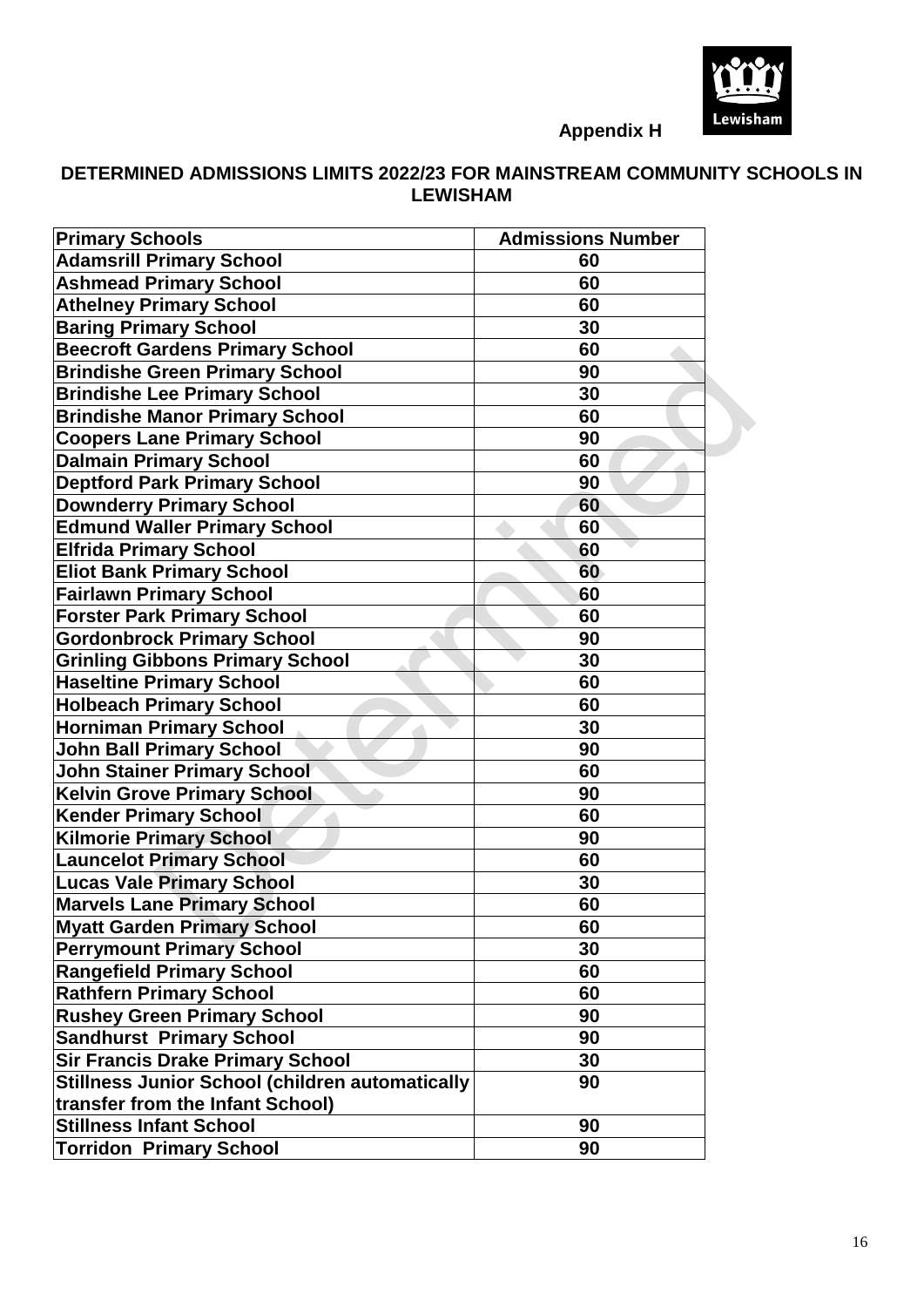

**Appendix H**

# **DETERMINED ADMISSIONS LIMITS 2022/23 FOR MAINSTREAM COMMUNITY SCHOOLS IN LEWISHAM**

| <b>Primary Schools</b>                                 | <b>Admissions Number</b> |
|--------------------------------------------------------|--------------------------|
| <b>Adamsrill Primary School</b>                        | 60                       |
| <b>Ashmead Primary School</b>                          | 60                       |
| <b>Athelney Primary School</b>                         | 60                       |
| <b>Baring Primary School</b>                           | 30                       |
| <b>Beecroft Gardens Primary School</b>                 | 60                       |
| <b>Brindishe Green Primary School</b>                  | 90                       |
| <b>Brindishe Lee Primary School</b>                    | 30                       |
| <b>Brindishe Manor Primary School</b>                  | 60                       |
| <b>Coopers Lane Primary School</b>                     | 90                       |
| <b>Dalmain Primary School</b>                          | 60                       |
| <b>Deptford Park Primary School</b>                    | 90                       |
| <b>Downderry Primary School</b>                        | 60                       |
| <b>Edmund Waller Primary School</b>                    | 60                       |
| <b>Elfrida Primary School</b>                          | 60                       |
| <b>Eliot Bank Primary School</b>                       | 60                       |
| <b>Fairlawn Primary School</b>                         | 60                       |
| <b>Forster Park Primary School</b>                     | 60                       |
| <b>Gordonbrock Primary School</b>                      | 90                       |
| <b>Grinling Gibbons Primary School</b>                 | 30                       |
| <b>Haseltine Primary School</b>                        | 60                       |
| <b>Holbeach Primary School</b>                         | 60                       |
| <b>Horniman Primary School</b>                         | 30                       |
| <b>John Ball Primary School</b>                        | 90                       |
| <b>John Stainer Primary School</b>                     | 60                       |
| <b>Kelvin Grove Primary School</b>                     | 90                       |
| <b>Kender Primary School</b>                           | 60                       |
| <b>Kilmorie Primary School</b>                         | 90                       |
| <b>Launcelot Primary School</b>                        | 60                       |
| <b>Lucas Vale Primary School</b>                       | 30                       |
| <b>Marvels Lane Primary School</b>                     | 60                       |
| <b>Myatt Garden Primary School</b>                     | 60                       |
| <b>Perrymount Primary School</b>                       | 30                       |
| <b>Rangefield Primary School</b>                       | 60                       |
| <b>Rathfern Primary School</b>                         | 60                       |
| <b>Rushey Green Primary School</b>                     | 90                       |
| <b>Sandhurst Primary School</b>                        | 90                       |
| <b>Sir Francis Drake Primary School</b>                | 30                       |
| <b>Stillness Junior School (children automatically</b> | 90                       |
| transfer from the Infant School)                       |                          |
| <b>Stillness Infant School</b>                         | 90                       |
| <b>Torridon Primary School</b>                         | 90                       |